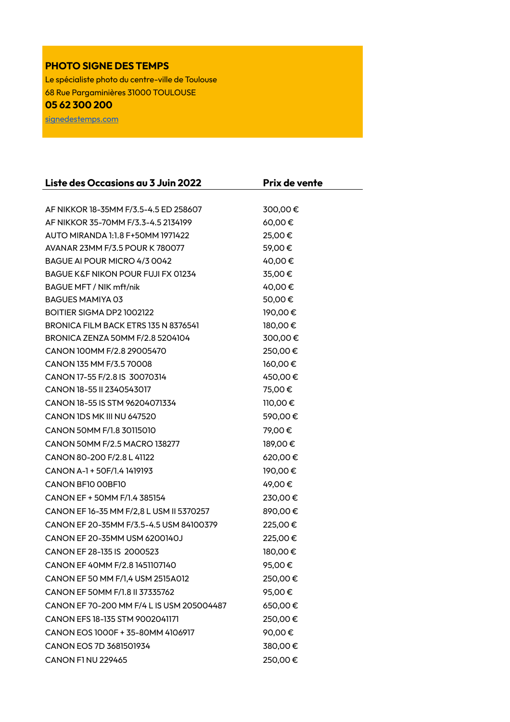## **PHOTO SIGNE DES TEMPS**

Le spécialiste photo du centre-ville de Toulouse 68 Rue Pargaminières 31000 TOULOUSE **05 62 300 200** 

[signedestemps.com](http://signedestemps.com/)

| Liste des Occasions au 3 Juin 2022        | Prix de vente |
|-------------------------------------------|---------------|
|                                           |               |
| AF NIKKOR 18-35MM F/3.5-4.5 ED 258607     | 300,00€       |
| AF NIKKOR 35-70MM F/3.3-4.5 2134199       | 60,00€        |
| AUTO MIRANDA 1:1.8 F+50MM 1971422         | 25,00€        |
| AVANAR 23MM F/3.5 POUR K 780077           | 59,00€        |
| BAGUE AI POUR MICRO 4/3 0042              | 40,00€        |
| BAGUE K&F NIKON POUR FUJI FX 01234        | 35,00€        |
| BAGUE MFT / NIK mft/nik                   | 40,00€        |
| <b>BAGUES MAMIYA 03</b>                   | 50,00€        |
| BOITIER SIGMA DP2 1002122                 | 190,00€       |
| BRONICA FILM BACK ETRS 135 N 8376541      | 180,00€       |
| BRONICA ZENZA 50MM F/2.8 5204104          | 300,00€       |
| CANON 100MM F/2.8 29005470                | 250,00€       |
| CANON 135 MM F/3.5 70008                  | 160,00€       |
| CANON 17-55 F/2.8 IS 30070314             | 450,00€       |
| CANON 18-55 II 2340543017                 | 75,00€        |
| CANON 18-55 IS STM 96204071334            | 110,00€       |
| CANON IDS MK III NU 647520                | 590,00€       |
| CANON 50MM F/1.8 30115010                 | 79,00€        |
| CANON 50MM F/2.5 MACRO 138277             | 189,00€       |
| CANON 80-200 F/2.8 L 41122                | 620,00€       |
| CANON A-1 + 50F/1.4 1419193               | 190,00€       |
| CANON BF10 00BF10                         | 49,00€        |
| CANON EF + 50MM F/1.4 385154              | 230,00€       |
| CANON EF 16-35 MM F/2,8 L USM II 5370257  | 890,00€       |
| CANON EF 20-35MM F/3.5-4.5 USM 84100379   | 225,00€       |
| CANON EF 20-35MM USM 6200140J             | 225,00€       |
| CANON EF 28-135 IS 2000523                | 180,00€       |
| CANON EF 40MM F/2.8 1451107140            | 95,00€        |
| CANON EF 50 MM F/1,4 USM 2515A012         | 250,00€       |
| CANON EF 50MM F/1.8 II 37335762           | 95,00€        |
| CANON EF 70-200 MM F/4 L IS USM 205004487 | 650,00€       |
| CANON EFS 18-135 STM 9002041171           | 250,00€       |
| CANON EOS 1000F + 35-80MM 4106917         | 90,00€        |
| CANON EOS 7D 3681501934                   | 380,00€       |
| <b>CANON F1 NU 229465</b>                 | 250,00€       |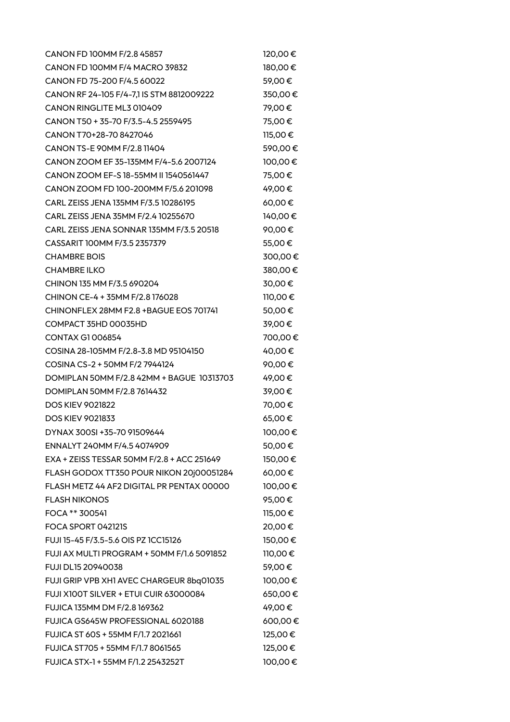| CANON FD 100MM F/2.8 45857                 | 120,00€ |
|--------------------------------------------|---------|
| CANON FD 100MM F/4 MACRO 39832             | 180,00€ |
| CANON FD 75-200 F/4.5 60022                | 59,00€  |
| CANON RF 24-105 F/4-7,1 IS STM 8812009222  | 350,00€ |
| CANON RINGLITE ML3 010409                  | 79,00€  |
| CANON T50 + 35-70 F/3.5-4.5 2559495        | 75,00€  |
| CANON T70+28-70 8427046                    | 115,00€ |
| CANON TS-E 90MM F/2.8 11404                | 590,00€ |
| CANON ZOOM EF 35-135MM F/4-5.6 2007124     | 100,00€ |
| CANON ZOOM EF-S 18-55MM II 1540561447      | 75,00€  |
| CANON ZOOM FD 100-200MM F/5.6 201098       | 49,00€  |
| CARL ZEISS JENA 135MM F/3.5 10286195       | 60,00€  |
| CARL ZEISS JENA 35MM F/2.4 10255670        | 140,00€ |
| CARL ZEISS JENA SONNAR 135MM F/3.5 20518   | 90,00€  |
| CASSARIT 100MM F/3.5 2357379               | 55,00€  |
| <b>CHAMBRE BOIS</b>                        | 300,00€ |
| <b>CHAMBRE ILKO</b>                        | 380,00€ |
| CHINON 135 MM F/3.5 690204                 | 30,00€  |
| CHINON CE-4 + 35MM F/2.8 176028            | 110,00€ |
| CHINONFLEX 28MM F2.8 + BAGUE EOS 701741    | 50,00€  |
| COMPACT 35HD 00035HD                       | 39,00€  |
| <b>CONTAX G1006854</b>                     | 700,00€ |
| COSINA 28-105MM F/2.8-3.8 MD 95104150      | 40,00€  |
| COSINA CS-2 + 50MM F/2 7944124             | 90,00€  |
| DOMIPLAN 50MM F/2.8 42MM + BAGUE 10313703  | 49,00€  |
| DOMIPLAN 50MM F/2.8 7614432                | 39,00€  |
| <b>DOS KIEV 9021822</b>                    | 70,00€  |
| <b>DOS KIEV 9021833</b>                    | 65,00€  |
| DYNAX 300SI +35-70 91509644                | 100,00€ |
| ENNALYT 240MM F/4.5 4074909                | 50,00€  |
| EXA + ZEISS TESSAR 50MM F/2.8 + ACC 251649 | 150,00€ |
| FLASH GODOX TT350 POUR NIKON 20j00051284   | 60,00€  |
| FLASH METZ 44 AF2 DIGITAL PR PENTAX 00000  | 100,00€ |
| <b>FLASH NIKONOS</b>                       | 95,00€  |
| FOCA ** 300541                             | 115,00€ |
| FOCA SPORT 042121S                         | 20,00€  |
| FUJI 15-45 F/3.5-5.6 OIS PZ 1CC15126       | 150,00€ |
| FUJI AX MULTI PROGRAM + 50MM F/1.6 5091852 | 110,00€ |
| <b>FUJI DL15 20940038</b>                  | 59,00€  |
| FUJI GRIP VPB XH1 AVEC CHARGEUR 8bq01035   | 100,00€ |
| FUJI X100T SILVER + ETUI CUIR 63000084     | 650,00€ |
| FUJICA 135MM DM F/2.8 169362               | 49,00€  |
| FUJICA GS645W PROFESSIONAL 6020188         | 600,00€ |
| FUJICA ST 60S + 55MM F/1.7 2021661         | 125,00€ |
| FUJICA ST705 + 55MM F/1.7 8061565          | 125,00€ |
| FUJICA STX-1 + 55MM F/1.2 2543252T         | 100,00€ |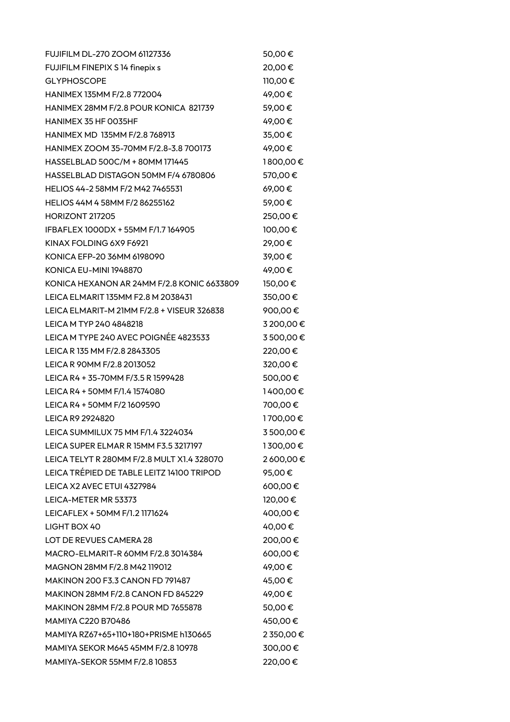| FUJIFILM DL-270 ZOOM 61127336              | 50,00€    |
|--------------------------------------------|-----------|
| FUJIFILM FINEPIX S 14 finepix s            | 20,00€    |
| <b>GLYPHOSCOPE</b>                         | 110,00€   |
| HANIMEX 135MM F/2.8 772004                 | 49,00€    |
| HANIMEX 28MM F/2.8 POUR KONICA 821739      | 59,00€    |
| HANIMEX 35 HF 0035HF                       | 49,00€    |
| HANIMEX MD 135MM F/2.8 768913              | 35,00€    |
| HANIMEX ZOOM 35-70MM F/2.8-3.8 700173      | 49,00€    |
| HASSELBLAD 500C/M + 80MM 171445            | 1800,00€  |
| HASSELBLAD DISTAGON 50MM F/4 6780806       | 570,00€   |
| HELIOS 44-2 58MM F/2 M42 7465531           | 69,00€    |
| HELIOS 44M 4 58MM F/2 86255162             | 59,00€    |
| HORIZONT 217205                            | 250,00€   |
| IFBAFLEX 1000DX + 55MM F/1.7 164905        | 100,00€   |
| KINAX FOLDING 6X9 F6921                    | 29,00€    |
| KONICA EFP-20 36MM 6198090                 | 39,00€    |
| KONICA EU-MINI 1948870                     | 49,00€    |
| KONICA HEXANON AR 24MM F/2.8 KONIC 6633809 | 150,00€   |
| LEICA ELMARIT 135MM F2.8 M 2038431         | 350,00€   |
| LEICA ELMARIT-M 21MM F/2.8 + VISEUR 326838 | 900,00€   |
| LEICA M TYP 240 4848218                    | 3 200,00€ |
| LEICA M TYPE 240 AVEC POIGNÉE 4823533      | 3500,00€  |
| LEICA R 135 MM F/2.8 2843305               | 220,00€   |
| LEICA R 90MM F/2.8 2013052                 | 320,00€   |
| LEICA R4 + 35-70MM F/3.5 R 1599428         | 500,00€   |
| LEICA R4 + 50MM F/1.4 1574080              | 1400,00€  |
| LEICA R4 + 50MM F/2 1609590                | 700,00€   |
| <b>LEICA R9 2924820</b>                    | 1700,00€  |
| LEICA SUMMILUX 75 MM F/1.4 3224034         | 3500,00€  |
| LEICA SUPER ELMAR R 15MM F3.5 3217197      | 1300,00€  |
| LEICA TELYT R 280MM F/2.8 MULT X1.4 328070 | 2600,00€  |
| LEICA TRÉPIED DE TABLE LEITZ 14100 TRIPOD  | 95,00€    |
| LEICA X2 AVEC ETUI 4327984                 | 600,00€   |
| LEICA-METER MR 53373                       | 120,00€   |
| LEICAFLEX + 50MM F/1.2 1171624             | 400,00€   |
| LIGHT BOX 40                               | 40,00€    |
| LOT DE REVUES CAMERA 28                    | 200,00€   |
| MACRO-ELMARIT-R 60MM F/2.8 3014384         | 600,00€   |
| MAGNON 28MM F/2.8 M42 119012               | 49,00€    |
| MAKINON 200 F3.3 CANON FD 791487           | 45,00€    |
| MAKINON 28MM F/2.8 CANON FD 845229         | 49,00€    |
| MAKINON 28MM F/2.8 POUR MD 7655878         | 50,00€    |
| <b>MAMIYA C220 B70486</b>                  | 450,00€   |
| MAMIYA RZ67+65+110+180+PRISME h130665      | 2 350,00€ |
| MAMIYA SEKOR M645 45MM F/2.8 10978         | 300,00€   |
| MAMIYA-SEKOR 55MM F/2.8 10853              | 220,00€   |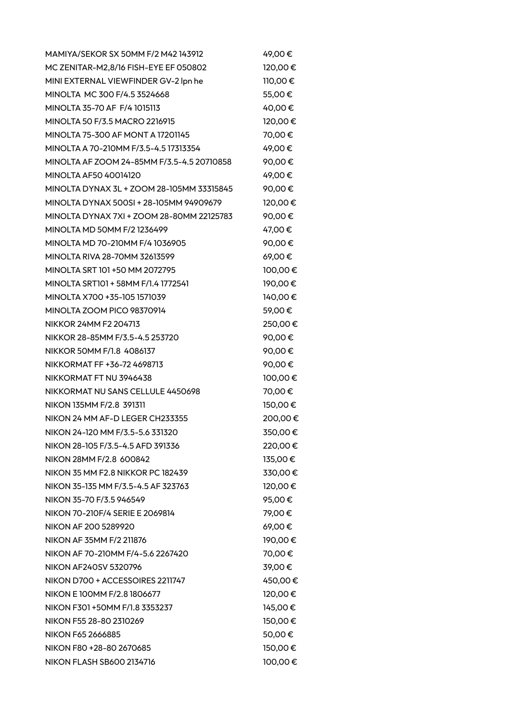MAMIYA/SEKOR SX 50MM F/2 M42 143912 49.00 € MC ZENITAR-M2,8/16 FISH-EYE EF 050802 120,00 € MINI EXTERNAL VIEWFINDER GV-2 lpn he 110,00 € MINOLTA MC 300 F/4.5 3524668 55,00 € MINOLTA 35-70 AF F/4 1015113 40,00 € MINOLTA 50 F/3.5 MACRO 2216915 120,00 € MINOLTA 75-300 AF MONT A 17201145 70,00 € MINOLTA A 70-210MM F/3.5-4.5 17313354 49.00 € MINOLTA AF ZOOM 24-85MM F/3.5-4.5 20710858 90,00 € MINOLTA AF50 40014120 49.00 € MINOLTA DYNAX 3L + ZOOM 28-105MM 33315845 90,00 € MINOLTA DYNAX 500SI + 28-105MM 94909679 120.00 € MINOLTA DYNAX 7XI + ZOOM 28-80MM 22125783 90,00 € MINOLTA MD 50MM F/2 1236499 47,00 € MINOLTA MD 70-210MM F/4 1036905 90.00 € MINOLTA RIVA 28-70MM 32613599 69,00  $\epsilon$ MINOLTA SRT 101 +50 MM 2072795 100,00 € MINOLTA SRT101 + 58MM F/1.4 1772541 190,00 € MINOLTA X700 +35-105 1571039 140,00 € MINOLTA ZOOM PICO 98370914  $59.00 \in$ NIKKOR 24MM F2 204713 250,00 € NIKKOR 28-85MM F/3.5-4.5 253720 90,00 € NIKKOR 50MM F/1.8 4086137 90,00 € NIKKORMAT FF +36-72 4698713 90,00 € NIKKORMAT FT NU 3946438 100,00  $\epsilon$ NIKKORMAT NU SANS CELLULE 4450698 70.00 € NIKON 135MM F/2.8 391311 150,00 € NIKON 24 MM AF-D LEGER CH233355 200.00  $\epsilon$ NIKON 24-120 MM F/3.5-5.6 331320 350,00 € NIKON 28-105 F/3.5-4.5 AFD 391336 220,00 € NIKON 28MM F/2.8 600842 135,00 € NIKON 35 MM F2.8 NIKKOR PC 182439 330,00 € NIKON 35-135 MM F/3.5-4.5 AF 323763 120.00 € NIKON 35-70 F/3.5 946549 95,00 € NIKON 70-210F/4 SERIE E 2069814 79,00 € NIKON AF 200 5289920 69,00 € NIKON AF 35MM F/2 211876 190,00 € NIKON AF 70-210MM F/4-5.6 2267420 70,00 € NIKON AF240SV 5320796 39,00 € NIKON D700 + ACCESSOIRES 2211747 450,00 € NIKON E 100MM F/2.8 1806677 120,00 € NIKON F301 +50MM F/1.8 3353237 145,00 € NIKON F55 28-80 2310269 150,00 € NIKON F65 2666885 50,00 € NIKON F80 +28-80 2670685 150,00 € NIKON FLASH SB600 2134716 100,00 €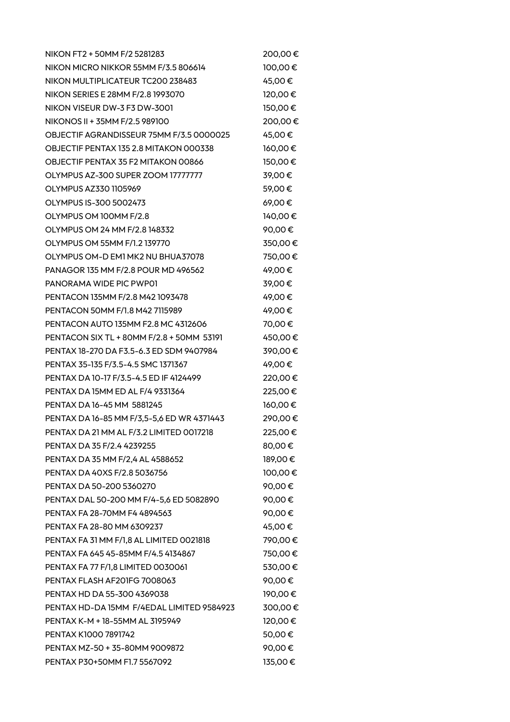NIKON FT2 + 50MM F/2 5281283 200,00 € NIKON MICRO NIKKOR 55MM F/3.5 806614 100,00 € NIKON MULTIPLICATEUR TC200 238483 45,00 € NIKON SERIES E 28MM F/2.8 1993070 120,00 € NIKON VISEUR DW-3 F3 DW-3001 150,00  $\epsilon$ NIKONOS II + 35MM F/2.5 989100 200,00 € OBJECTIF AGRANDISSEUR 75MM F/3.5 0000025 45,00 € OBJECTIF PENTAX 135 2.8 MITAKON 000338 160,00 € OBJECTIF PENTAX 35 F2 MITAKON 00866 150,00  $\epsilon$ OLYMPUS AZ-300 SUPER ZOOM 17777777 39,00 € OLYMPUS AZ330 1105969  $59,00 \in$ OLYMPUS IS-300 5002473 69,00 € OLYMPUS OM 100MM F/2.8 140,00  $\epsilon$ OLYMPUS OM 24 MM F/2.8 148332 90,00 € OLYMPUS OM 55MM F/1.2 139770 350,00 € OLYMPUS OM-D EM1 MK2 NU BHUA37078  $750,00 \in$ PANAGOR 135 MM F/2.8 POUR MD 496562 49,00 € PANORAMA WIDE PIC PWP01 39,00 € PENTACON 135MM F/2.8 M42 1093478 49,00 € PENTACON 50MM F/1.8 M42 7115989 49.00 € PENTACON AUTO 135MM F2.8 MC 4312606 70,00 € PENTACON SIX TL + 80MM F/2.8 + 50MM 53191 450,00 € PENTAX 18-270 DA F3.5-6.3 ED SDM 9407984 390,00 € PENTAX 35-135 F/3.5-4.5 SMC 1371367 49,00 € PENTAX DA 10-17 F/3.5-4.5 ED IF 4124499 220,00 € PENTAX DA 15MM ED AL F/4 9331364 225,00 € PENTAX DA 16-45 MM 5881245 160,00 € PENTAX DA 16-85 MM F/3,5-5,6 ED WR 4371443 290,00 € PENTAX DA 21 MM AL F/3.2 LIMITED 0017218 225,00 € PENTAX DA 35 F/2.4 4239255 80,00 € PENTAX DA 35 MM F/2,4 AL 4588652 189,00 € PENTAX DA 40XS F/2.8 5036756 100,00 € PENTAX DA 50-200 5360270 90.00 € PENTAX DAL 50-200 MM F/4-5,6 ED 5082890 90,00 € PENTAX FA 28-70MM F4 4894563 90.00 € PENTAX FA 28-80 MM 6309237 45,00 € PENTAX FA 31 MM F/1,8 AL LIMITED 0021818 790,00 € PENTAX FA 645 45-85MM F/4.5 4134867 750.00 € PENTAX FA 77 F/1,8 LIMITED 0030061 530,00 € PENTAX FLASH AF201FG 7008063<br>90,00 € PENTAX HD DA 55-300 4369038 190,00 € PENTAX HD-DA 15MM F/4EDAL LIMITED 9584923 300,00 € PENTAX K-M + 18-55MM AL 3195949 120,00 € PENTAX K1000 7891742 50,00 € PENTAX MZ-50 + 35-80MM 9009872 90,00 € PENTAX P30+50MM F1.7 5567092 135,00 €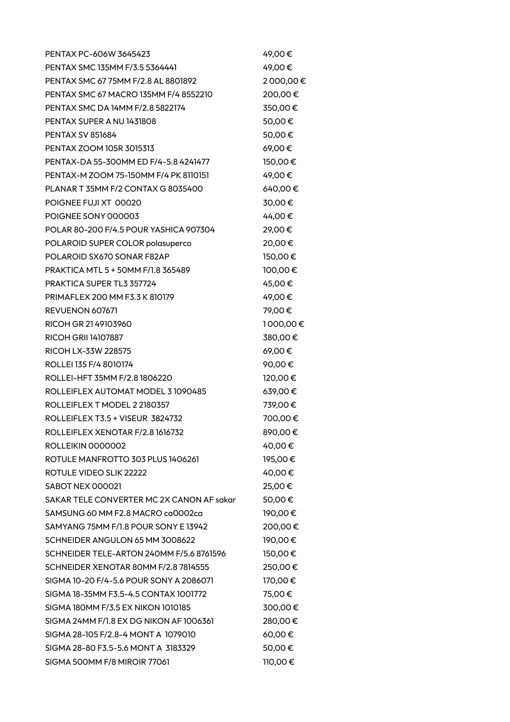| PENTAX PC-606W 3645423                    | 49,00€   |
|-------------------------------------------|----------|
| PENTAX SMC 135MM F/3.5 5364441            | 49,00€   |
| PENTAX SMC 67 75MM F/2.8 AL 8801892       | 2000,00€ |
| PENTAX SMC 67 MACRO 135MM F/4 8552210     | 200,00€  |
| PENTAX SMC DA 14MM F/2.8 5822174          | 350,00€  |
| PENTAX SUPER A NU 1431808                 | 50,00€   |
| <b>PENTAX SV 851684</b>                   | 50,00€   |
| PENTAX ZOOM 105R 3015313                  | 69,00€   |
| PENTAX-DA 55-300MM ED F/4-5.8 4241477     | 150,00€  |
| PENTAX-M ZOOM 75-150MM F/4 PK 8110151     | 49,00€   |
| PLANAR T 35MM F/2 CONTAX G 8035400        | 640,00€  |
| POIGNEE FUJI XT 00020                     | 30,00€   |
| POIGNEE SONY 000003                       | 44,00€   |
| POLAR 80-200 F/4.5 POUR YASHICA 907304    | 29,00€   |
| POLAROID SUPER COLOR polasuperco          | 20,00€   |
| POLAROID SX670 SONAR F82AP                | 150,00€  |
| PRAKTICA MTL 5 + 50MM F/1.8 365489        | 100,00€  |
| <b>PRAKTICA SUPER TL3 357724</b>          | 45,00€   |
| PRIMAFLEX 200 MM F3.3 K 810179            | 49,00€   |
| REVUENON 607671                           | 79,00€   |
| RICOH GR 2149103960                       | 1000,00€ |
| <b>RICOH GRII 14107887</b>                | 380,00€  |
| RICOH LX-33W 228575                       | 69,00€   |
| ROLLEI 135 F/4 8010174                    | 90,00€   |
| ROLLEI-HFT 35MM F/2.8 1806220             | 120,00€  |
| ROLLEIFLEX AUTOMAT MODEL 3 1090485        | 639,00€  |
| ROLLEIFLEX T MODEL 2 2180357              | 739,00€  |
| ROLLEIFLEX T3.5 + VISEUR 3824732          | 700,00€  |
| ROLLEIFLEX XENOTAR F/2.8 1616732          | 890,00€  |
| ROLLEIKIN 0000002                         | 40,00€   |
| ROTULE MANFROTTO 303 PLUS 1406261         | 195,00€  |
| ROTULE VIDEO SLIK 22222                   | 40,00€   |
| SABOT NEX 000021                          | 25,00€   |
| SAKAR TELE CONVERTER MC 2X CANON AF sakar | 50,00€   |
| SAMSUNG 60 MM F2.8 MACRO ca0002ca         | 190,00€  |
| SAMYANG 75MM F/1.8 POUR SONY E 13942      | 200,00€  |
| SCHNEIDER ANGULON 65 MM 3008622           | 190,00€  |
| SCHNEIDER TELE-ARTON 240MM F/5.6 8761596  | 150,00€  |
| SCHNEIDER XENOTAR 80MM F/2.8 7814555      | 250,00€  |
| SIGMA 10-20 F/4-5.6 POUR SONY A 2086071   | 170,00€  |
| SIGMA 18-35MM F3.5-4.5 CONTAX 1001772     | 75,00€   |
| SIGMA 180MM F/3.5 EX NIKON 1010185        | 300,00€  |
| SIGMA 24MM F/1.8 EX DG NIKON AF 1006361   | 280,00€  |
| SIGMA 28-105 F/2.8-4 MONT A 1079010       | 60,00€   |
| SIGMA 28-80 F3.5-5.6 MONT A 3183329       | 50,00€   |
| SIGMA 500MM F/8 MIROIR 77061              | 110,00€  |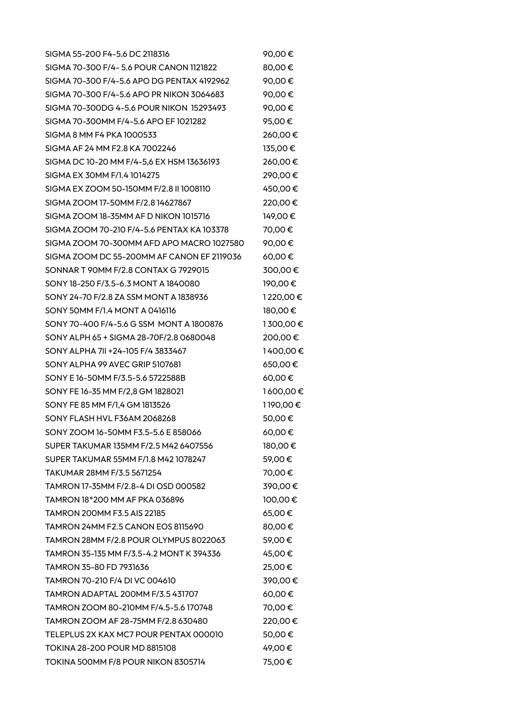SIGMA 55-200 F4-5.6 DC 2118316 90.00 € SIGMA 70-300 F/4- 5.6 POUR CANON 1121822 80,00 € SIGMA 70-300 F/4-5.6 APO DG PENTAX 4192962 90,00 € SIGMA 70-300 F/4-5.6 APO PR NIKON 3064683 90,00 € SIGMA 70-300DG 4-5.6 POUR NIKON 15293493 90,00 € SIGMA 70-300MM F/4-5.6 APO EF 1021282 95,00 € SIGMA 8 MM F4 PKA 1000533 260,00 € SIGMA AF 24 MM F2.8 KA 7002246 135.00 € SIGMA DC 10-20 MM F/4-5,6 EX HSM 13636193 260,00 € SIGMA EX 30MM F/1.4 1014275 290.00 € SIGMA EX ZOOM 50-150MM F/2.8 II 1008110 450,00 € SIGMA ZOOM 17-50MM F/2.8 14627867 220.00 € SIGMA ZOOM 18-35MM AF D NIKON 1015716 149,00  $\epsilon$ SIGMA ZOOM 70-210 F/4-5.6 PENTAX KA 103378 70,00 € SIGMA ZOOM 70-300MM AFD APO MACRO 1027580 90.00 € SIGMA ZOOM DC 55-200MM AF CANON EF 2119036 60,00  $\epsilon$ SONNAR T 90MM F/2.8 CONTAX G 7929015 300,00 € SONY 18-250 F/3.5-6.3 MONT A 1840080 190,00 € SONY 24-70 F/2.8 ZA SSM MONT A 1838936 1220,00 € SONY 50MM F/1.4 MONT A 0416116 180,00  $\epsilon$ SONY 70-400 F/4-5.6 G SSM MONT A 1800876 1300,00 € SONY ALPH 65 + SIGMA 28-70F/2.8 0680048 200,00 € SONY ALPHA 7II +24-105 F/4 3833467 1400,00 € SONY ALPHA 99 AVEC GRIP 5107681 650,00  $\epsilon$ SONY E 16-50MM F/3.5-5.6 5722588B 60,00 € SONY FE 16-35 MM F/2,8 GM 1828021 1600,00 € SONY FE 85 MM F/1,4 GM 1813526 1 190,00 € SONY FLASH HVL F36AM 2068268  $50.00 \in$ SONY ZOOM 16-50MM F3.5-5.6 E 858066 60,00 € SUPER TAKUMAR 135MM F/2.5 M42 6407556 180,00 € SUPER TAKUMAR 55MM F/1.8 M42 1078247 59,00 € TAKUMAR 28MM F/3.5 5671254 70,00 € TAMRON 17-35MM F/2.8-4 DI OSD 000582 390,00 € TAMRON 18\*200 MM AF PKA 036896 100,00 € TAMRON 200MM F3.5 AIS 22185 65.00  $\epsilon$ TAMRON 24MM F2.5 CANON EOS 8115690 80,00  $\epsilon$ TAMRON 28MM F/2.8 POUR OLYMPUS 8022063 59.00  $\epsilon$ TAMRON 35-135 MM F/3.5-4.2 MONT K 394336 45,00 € TAMRON 35-80 FD 7931636 25,00 € TAMRON 70-210 F/4 DI VC 004610 390,00 € TAMRON ADAPTAL 200MM F/3.5 431707 60,00  $\epsilon$ TAMRON ZOOM 80-210MM F/4.5-5.6 170748 70,00 € TAMRON ZOOM AF 28-75MM F/2.8 630480 220,00 € TELEPLUS 2X KAX MC7 POUR PENTAX 000010 50,00 € TOKINA 28-200 POUR MD 8815108 49,00 € TOKINA 500MM F/8 POUR NIKON 8305714 75,00  $\epsilon$